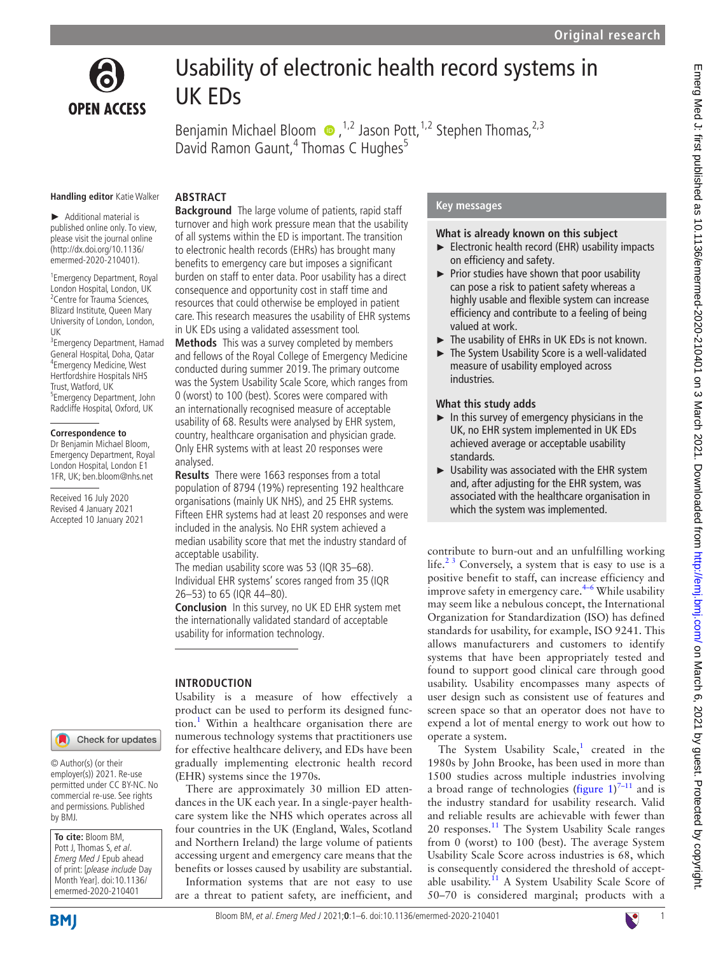

# Usability of electronic health record systems in UK EDs

BenjaminMichael Bloom  $\bullet$ ,<sup>1,2</sup> Jason Pott,<sup>1,2</sup> Stephen Thomas,<sup>2,3</sup> David Ramon Gaunt,<sup>4</sup> Thomas C Hughes<sup>5</sup>

#### **Handling editor** Katie Walker

► Additional material is published online only. To view, please visit the journal online (http://dx.doi.org/10.1136/ emermed-2020-210401).

1 Emergency Department, Royal London Hospital, London, UK <sup>2</sup> Centre for Trauma Sciences, Blizard Institute, Queen Mary University of London, London, UK

<sup>3</sup> Emergency Department, Hamad General Hospital, Doha, Qatar 4 Emergency Medicine, West Hertfordshire Hospitals NHS Trust, Watford, UK 5 Emergency Department, John Radcliffe Hospital, Oxford, UK

#### **Correspondence to**

Dr Benjamin Michael Bloom, Emergency Department, Royal London Hospital, London E1 1FR, UK; ben.bloom@nhs.net

Received 16 July 2020 Revised 4 January 2021 Accepted 10 January 2021

# **ABSTRACT**

**Background** The large volume of patients, rapid staff turnover and high work pressure mean that the usability of all systems within the ED is important. The transition to electronic health records (EHRs) has brought many benefits to emergency care but imposes a significant burden on staff to enter data. Poor usability has a direct consequence and opportunity cost in staff time and resources that could otherwise be employed in patient care. This research measures the usability of EHR systems in UK EDs using a validated assessment tool.

**Methods** This was a survey completed by members and fellows of the Royal College of Emergency Medicine conducted during summer 2019. The primary outcome was the System Usability Scale Score, which ranges from 0 (worst) to 100 (best). Scores were compared with an internationally recognised measure of acceptable usability of 68. Results were analysed by EHR system, country, healthcare organisation and physician grade. Only EHR systems with at least 20 responses were analysed.

**Results** There were 1663 responses from a total population of 8794 (19%) representing 192 healthcare organisations (mainly UK NHS), and 25 EHR systems. Fifteen EHR systems had at least 20 responses and were included in the analysis. No EHR system achieved a median usability score that met the industry standard of acceptable usability.

The median usability score was 53 (IQR 35–68). Individual EHR systems' scores ranged from 35 (IQR 26–53) to 65 (IQR 44–80).

**Conclusion** In this survey, no UK ED EHR system met the internationally validated standard of acceptable usability for information technology.

Usability is a measure of how effectively a product can be used to perform its designed func-tion.<sup>[1](#page-5-0)</sup> Within a healthcare organisation there are numerous technology systems that practitioners use for effective healthcare delivery, and EDs have been gradually implementing electronic health record

There are approximately 30 million ED attendances in the UK each year. In a single-payer healthcare system like the NHS which operates across all four countries in the UK (England, Wales, Scotland and Northern Ireland) the large volume of patients accessing urgent and emergency care means that the benefits or losses caused by usability are substantial. Information systems that are not easy to use are a threat to patient safety, are inefficient, and

# **INTRODUCTION**

(EHR) systems since the 1970s.

Check for updates

© Author(s) (or their employer(s)) 2021. Re-use permitted under CC BY-NC. No commercial re-use. See rights and permissions. Published by BMJ.

**To cite:** Bloom BM, Pott J, Thomas S, et al. Emerg Med J Epub ahead of print: [please include Day Month Year]. doi:10.1136/ emermed-2020-210401

Bloom BM, et al. Emerg Med J 2021;**0**:1–6. doi:10.1136/emermed-2020-2104011

# **Key messages**

**What is already known on this subject**

- ► Electronic health record (EHR) usability impacts on efficiency and safety.
- ► Prior studies have shown that poor usability can pose a risk to patient safety whereas a highly usable and flexible system can increase efficiency and contribute to a feeling of being valued at work.
- ► The usability of EHRs in UK EDs is not known.
- ► The System Usability Score is a well-validated measure of usability employed across industries.

# **What this study adds**

- $\blacktriangleright$  In this survey of emergency physicians in the UK, no EHR system implemented in UK EDs achieved average or acceptable usability standards.
- ► Usability was associated with the EHR system and, after adjusting for the EHR system, was associated with the healthcare organisation in which the system was implemented.

contribute to burn-out and an unfulfilling working life.<sup>23</sup> Conversely, a system that is easy to use is a positive benefit to staff, can increase efficiency and improve safety in emergency care. $4-6$  While usability may seem like a nebulous concept, the International Organization for Standardization (ISO) has defined standards for usability, for example, ISO 9241. This allows manufacturers and customers to identify systems that have been appropriately tested and found to support good clinical care through good usability. Usability encompasses many aspects of user design such as consistent use of features and screen space so that an operator does not have to expend a lot of mental energy to work out how to operate a system.

The System Usability Scale, $1$  created in the 1980s by John Brooke, has been used in more than 1500 studies across multiple industries involving a broad range of technologies ([figure](#page-1-0)  $1$ )<sup>7-11</sup> and is the industry standard for usability research. Valid and reliable results are achievable with fewer than 20 responses.[11](#page-5-4) The System Usability Scale ranges from 0 (worst) to 100 (best). The average System Usability Scale Score across industries is 68, which is consequently considered the threshold of accept-able usability.<sup>[11](#page-5-4)</sup> A System Usability Scale Score of 50–70 is considered marginal; products with a

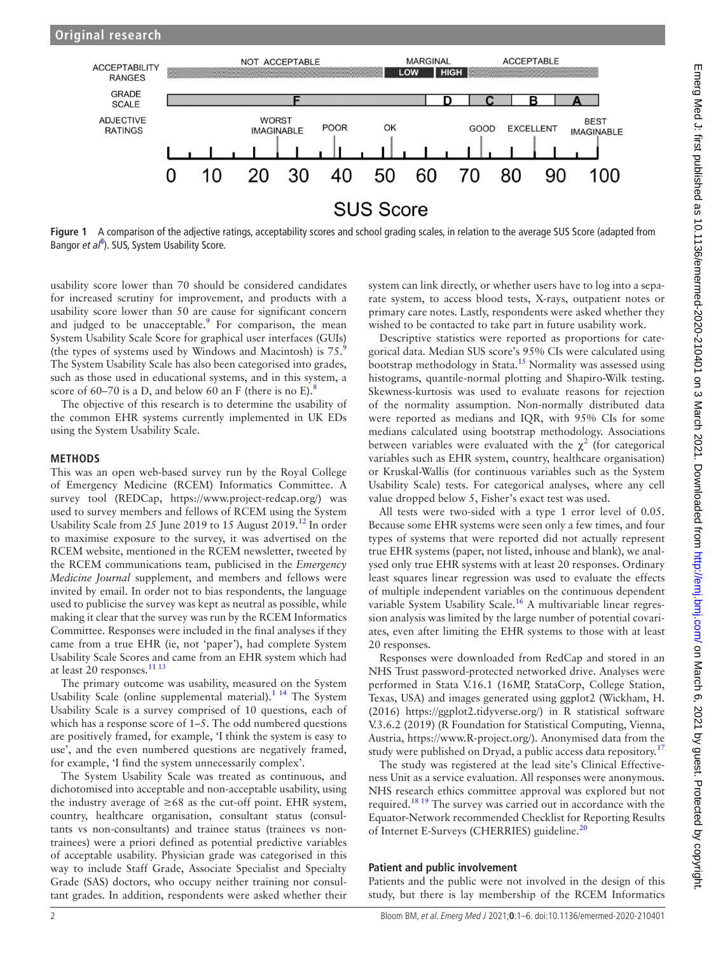

<span id="page-1-0"></span>**Figure 1** A comparison of the adjective ratings, acceptability scores and school grading scales, in relation to the average SUS Score (adapted from Bangor et al<sup>[8](#page-5-6)</sup>). SUS, System Usability Score.

usability score lower than 70 should be considered candidates for increased scrutiny for improvement, and products with a usability score lower than 50 are cause for significant concern and judged to be unacceptable.<sup>9</sup> For comparison, the mean System Usability Scale Score for graphical user interfaces (GUIs) (the types of systems used by Windows and Macintosh) is  $75.9$  $75.9$ The System Usability Scale has also been categorised into grades, such as those used in educational systems, and in this system, a score of 60–70 is a D, and below 60 an F (there is no E).<sup>8</sup>

The objective of this research is to determine the usability of the common EHR systems currently implemented in UK EDs using the System Usability Scale.

## **METHODS**

This was an open web-based survey run by the Royal College of Emergency Medicine (RCEM) Informatics Committee. A survey tool (REDCap, [https://www.project-redcap.org/\)](https://www.project-redcap.org/) was used to survey members and fellows of RCEM using the System Usability Scale from 25 June 2019 to 15 August 2019.<sup>12</sup> In order to maximise exposure to the survey, it was advertised on the RCEM website, mentioned in the RCEM newsletter, tweeted by the RCEM communications team, publicised in the *Emergency Medicine Journal* supplement, and members and fellows were invited by email. In order not to bias respondents, the language used to publicise the survey was kept as neutral as possible, while making it clear that the survey was run by the RCEM Informatics Committee. Responses were included in the final analyses if they came from a true EHR (ie, not 'paper'), had complete System Usability Scale Scores and came from an EHR system which had at least 20 responses.<sup>[11 13](#page-5-4)</sup>

The primary outcome was usability, measured on the System Usability Scale ([online supplemental material\)](https://dx.doi.org/10.1136/emermed-2020-210401).<sup>1 14</sup> The System Usability Scale is a survey comprised of 10 questions, each of which has a response score of 1–5. The odd numbered questions are positively framed, for example, 'I think the system is easy to use', and the even numbered questions are negatively framed, for example, 'I find the system unnecessarily complex'.

The System Usability Scale was treated as continuous, and dichotomised into acceptable and non-acceptable usability, using the industry average of  $\geq 68$  as the cut-off point. EHR system, country, healthcare organisation, consultant status (consultants vs non-consultants) and trainee status (trainees vs nontrainees) were a priori defined as potential predictive variables of acceptable usability. Physician grade was categorised in this way to include Staff Grade, Associate Specialist and Specialty Grade (SAS) doctors, who occupy neither training nor consultant grades. In addition, respondents were asked whether their

system can link directly, or whether users have to log into a separate system, to access blood tests, X-rays, outpatient notes or primary care notes. Lastly, respondents were asked whether they wished to be contacted to take part in future usability work.

Descriptive statistics were reported as proportions for categorical data. Median SUS score's 95% CIs were calculated using bootstrap methodology in Stata.[15](#page-5-8) Normality was assessed using histograms, quantile-normal plotting and Shapiro-Wilk testing. Skewness-kurtosis was used to evaluate reasons for rejection of the normality assumption. Non-normally distributed data were reported as medians and IQR, with 95% CIs for some medians calculated using bootstrap methodology. Associations between variables were evaluated with the  $\chi^2$  (for categorical variables such as EHR system, country, healthcare organisation) or Kruskal-Wallis (for continuous variables such as the System Usability Scale) tests. For categorical analyses, where any cell value dropped below 5, Fisher's exact test was used.

All tests were two-sided with a type 1 error level of 0.05. Because some EHR systems were seen only a few times, and four types of systems that were reported did not actually represent true EHR systems (paper, not listed, inhouse and blank), we analysed only true EHR systems with at least 20 responses. Ordinary least squares linear regression was used to evaluate the effects of multiple independent variables on the continuous dependent variable System Usability Scale.<sup>16</sup> A multivariable linear regression analysis was limited by the large number of potential covariates, even after limiting the EHR systems to those with at least 20 responses.

Responses were downloaded from RedCap and stored in an NHS Trust password-protected networked drive. Analyses were performed in Stata V.16.1 (16MP, StataCorp, College Station, Texas, USA) and images generated using ggplot2 (Wickham, H. (2016) <https://ggplot2.tidyverse.org/>) in R statistical software V.3.6.2 (2019) (R Foundation for Statistical Computing, Vienna, Austria, <https://www.R-project.org/>). Anonymised data from the study were published on Dryad, a public access data repository.<sup>[17](#page-5-10)</sup>

The study was registered at the lead site's Clinical Effectiveness Unit as a service evaluation. All responses were anonymous. NHS research ethics committee approval was explored but not required.<sup>18 19</sup> The survey was carried out in accordance with the Equator-Network recommended Checklist for Reporting Results of Internet E-Surveys (CHERRIES) guideline.<sup>20</sup>

#### **Patient and public involvement**

Patients and the public were not involved in the design of this study, but there is lay membership of the RCEM Informatics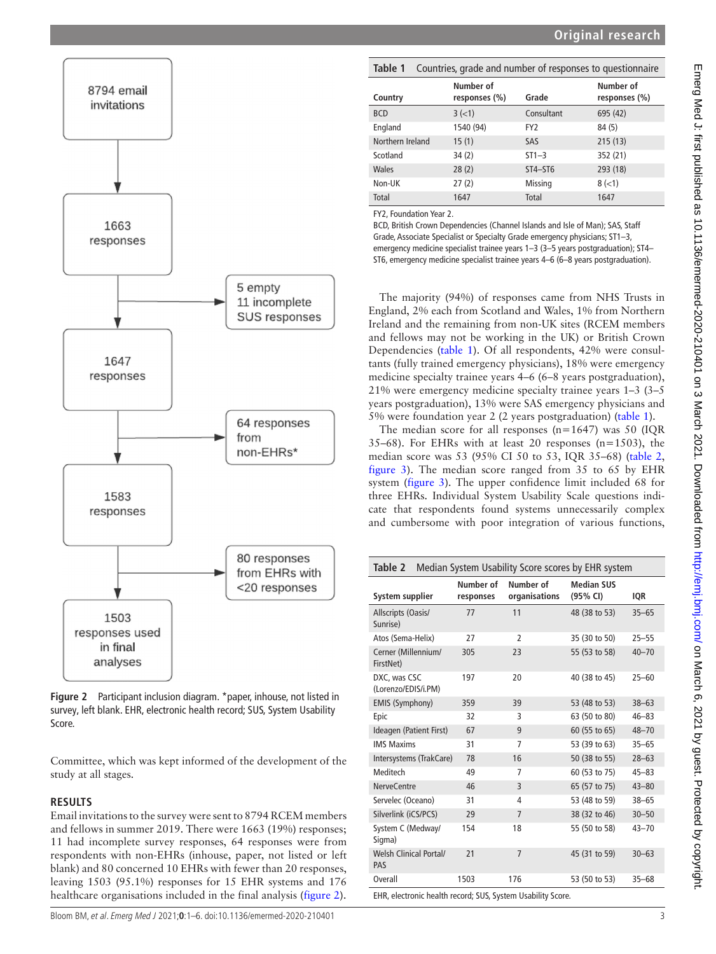

<span id="page-2-0"></span>**Figure 2** Participant inclusion diagram. \*paper, inhouse, not listed in survey, left blank. EHR, electronic health record; SUS, System Usability Score.

Committee, which was kept informed of the development of the study at all stages.

#### **RESULTS**

Email invitations to the survey were sent to 8794 RCEM members and fellows in summer 2019. There were 1663 (19%) responses; 11 had incomplete survey responses, 64 responses were from respondents with non-EHRs (inhouse, paper, not listed or left blank) and 80 concerned 10 EHRs with fewer than 20 responses, leaving 1503 (95.1%) responses for 15 EHR systems and 176 healthcare organisations included in the final analysis ([figure](#page-2-0) 2).

<span id="page-2-1"></span>

| Countries, grade and number of responses to questionnaire<br>Table 1 |                            |                 |                            |  |  |
|----------------------------------------------------------------------|----------------------------|-----------------|----------------------------|--|--|
| Country                                                              | Number of<br>responses (%) | Grade           | Number of<br>responses (%) |  |  |
| <b>BCD</b>                                                           | $3(-1)$                    | Consultant      | 695 (42)                   |  |  |
| England                                                              | 1540 (94)                  | FY <sub>2</sub> | 84 (5)                     |  |  |
| Northern Ireland                                                     | 15(1)                      | SAS             | 215(13)                    |  |  |
| Scotland                                                             | 34(2)                      | $ST1-3$         | 352 (21)                   |  |  |
| Wales                                                                | 28(2)                      | ST4-ST6         | 293 (18)                   |  |  |
| Non-UK                                                               | 27(2)                      | <b>Missing</b>  | $8(-1)$                    |  |  |
| Total                                                                | 1647                       | Total           | 1647                       |  |  |

FY2, Foundation Year 2.

BCD, British Crown Dependencies (Channel Islands and Isle of Man); SAS, Staff Grade, Associate Specialist or Specialty Grade emergency physicians; ST1–3, emergency medicine specialist trainee years 1–3 (3–5 years postgraduation); ST4– ST6, emergency medicine specialist trainee years 4–6 (6–8 years postgraduation).

The majority (94%) of responses came from NHS Trusts in England, 2% each from Scotland and Wales, 1% from Northern Ireland and the remaining from non-UK sites (RCEM members and fellows may not be working in the UK) or British Crown Dependencies ([table](#page-2-1) 1). Of all respondents, 42% were consultants (fully trained emergency physicians), 18% were emergency medicine specialty trainee years 4–6 (6–8 years postgraduation), 21% were emergency medicine specialty trainee years 1–3 (3–5 years postgraduation), 13% were SAS emergency physicians and 5% were foundation year 2 (2 years postgraduation) [\(table](#page-2-1) 1).

The median score for all responses (n*=*1647) was 50 (IQR 35–68). For EHRs with at least 20 responses (n=1503), the median score was 53 (95% CI 50 to 53, IQR 35–68) ([table](#page-2-2) 2, [figure](#page-3-0) 3). The median score ranged from 35 to 65 by EHR system ([figure](#page-3-0) 3). The upper confidence limit included 68 for three EHRs. Individual System Usability Scale questions indicate that respondents found systems unnecessarily complex and cumbersome with poor integration of various functions,

<span id="page-2-2"></span>

| Median System Usability Score scores by EHR system<br>Table 2 |                        |                            |                               |           |  |  |
|---------------------------------------------------------------|------------------------|----------------------------|-------------------------------|-----------|--|--|
| System supplier                                               | Number of<br>responses | Number of<br>organisations | <b>Median SUS</b><br>(95% CI) | IQR       |  |  |
| Allscripts (Oasis/<br>Sunrise)                                | 77                     | 11                         | 48 (38 to 53)                 | $35 - 65$ |  |  |
| Atos (Sema-Helix)                                             | 27                     | $\overline{2}$             | 35 (30 to 50)                 | $25 - 55$ |  |  |
| Cerner (Millennium/<br>FirstNet)                              | 305                    | 23                         | 55 (53 to 58)                 | $40 - 70$ |  |  |
| DXC, was CSC<br>(Lorenzo/EDIS/i.PM)                           | 197                    | 20                         | 40 (38 to 45)                 | $25 - 60$ |  |  |
| EMIS (Symphony)                                               | 359                    | 39                         | 53 (48 to 53)                 | $38 - 63$ |  |  |
| Epic                                                          | 32                     | $\overline{3}$             | 63 (50 to 80)                 | $46 - 83$ |  |  |
| Ideagen (Patient First)                                       | 67                     | 9                          | 60 (55 to 65)                 | $48 - 70$ |  |  |
| <b>IMS Maxims</b>                                             | 31                     | 7                          | 53 (39 to 63)                 | $35 - 65$ |  |  |
| Intersystems (TrakCare)                                       | 78                     | 16                         | 50 (38 to 55)                 | $28 - 63$ |  |  |
| Meditech                                                      | 49                     | 7                          | 60 (53 to 75)                 | $45 - 83$ |  |  |
| <b>NerveCentre</b>                                            | 46                     | 3                          | 65 (57 to 75)                 | $43 - 80$ |  |  |
| Servelec (Oceano)                                             | 31                     | 4                          | 53 (48 to 59)                 | $38 - 65$ |  |  |
| Silverlink (iCS/PCS)                                          | 29                     | $\overline{7}$             | 38 (32 to 46)                 | $30 - 50$ |  |  |
| System C (Medway/<br>Sigma)                                   | 154                    | 18                         | 55 (50 to 58)                 | $43 - 70$ |  |  |
| <b>Welsh Clinical Portal/</b><br>PAS                          | 21                     | $\overline{7}$             | 45 (31 to 59)                 | $30 - 63$ |  |  |
| Overall                                                       | 1503                   | 176                        | 53 (50 to 53)                 | $35 - 68$ |  |  |
| EHR, electronic health record; SUS, System Usability Score.   |                        |                            |                               |           |  |  |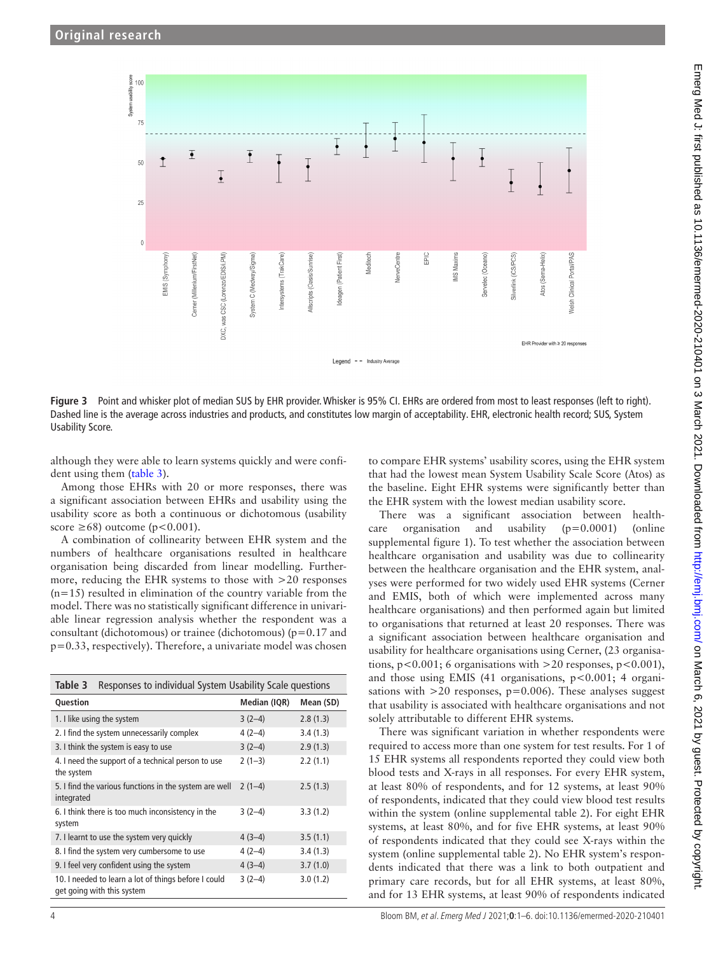

<span id="page-3-0"></span>**Figure 3** Point and whisker plot of median SUS by EHR provider. Whisker is 95% CI. EHRs are ordered from most to least responses (left to right). Dashed line is the average across industries and products, and constitutes low margin of acceptability. EHR, electronic health record; SUS, System Usability Score.

although they were able to learn systems quickly and were confident using them [\(table](#page-3-1) 3).

Among those EHRs with 20 or more responses, there was a significant association between EHRs and usability using the usability score as both a continuous or dichotomous (usability score  $\geq 68$ ) outcome (p<0.001).

A combination of collinearity between EHR system and the numbers of healthcare organisations resulted in healthcare organisation being discarded from linear modelling. Furthermore, reducing the EHR systems to those with >20 responses  $(n=15)$  resulted in elimination of the country variable from the model. There was no statistically significant difference in univariable linear regression analysis whether the respondent was a consultant (dichotomous) or trainee (dichotomous) (p=0.17 and p=0.33, respectively). Therefore, a univariate model was chosen

<span id="page-3-1"></span>

| Responses to individual System Usability Scale questions<br>Table 3                |              |           |  |  |  |
|------------------------------------------------------------------------------------|--------------|-----------|--|--|--|
| Question                                                                           | Median (IQR) | Mean (SD) |  |  |  |
| 1. I like using the system                                                         | $3(2-4)$     | 2.8(1.3)  |  |  |  |
| 2. I find the system unnecessarily complex                                         | $4(2-4)$     | 3.4(1.3)  |  |  |  |
| 3. I think the system is easy to use                                               | $3(2-4)$     | 2.9(1.3)  |  |  |  |
| 4. I need the support of a technical person to use<br>the system                   | $2(1-3)$     | 2.2(1.1)  |  |  |  |
| 5. I find the various functions in the system are well<br>integrated               | $2(1-4)$     | 2.5(1.3)  |  |  |  |
| 6. I think there is too much inconsistency in the<br>system                        | $3(2-4)$     | 3.3(1.2)  |  |  |  |
| 7. I learnt to use the system very quickly                                         | $4(3-4)$     | 3.5(1.1)  |  |  |  |
| 8. I find the system very cumbersome to use                                        | $4(2-4)$     | 3.4(1.3)  |  |  |  |
| 9. I feel very confident using the system                                          | $4(3-4)$     | 3.7(1.0)  |  |  |  |
| 10. I needed to learn a lot of things before I could<br>get going with this system | $3(2-4)$     | 3.0(1.2)  |  |  |  |

Emerg Med J: first published as 10.1136/emermed-2020-210401 on 3 March 2021. Downloaded from http://emj.bmj.com/ on March 6, 2021 by guest. Protected by copyright Emerg Med J: first published as 10.1136/emermed-2020-210401 on 3 March 2021. Downloaded from bm http://emj.com/ on March 6, 2021 by guest. Protected by copyright.

to compare EHR systems' usability scores, using the EHR system that had the lowest mean System Usability Scale Score (Atos) as the baseline. Eight EHR systems were significantly better than the EHR system with the lowest median usability score.

There was a significant association between healthcare organisation and usability (p=0.0001) [\(online](https://dx.doi.org/10.1136/emermed-2020-210401) [supplemental figure 1\)](https://dx.doi.org/10.1136/emermed-2020-210401). To test whether the association between healthcare organisation and usability was due to collinearity between the healthcare organisation and the EHR system, analyses were performed for two widely used EHR systems (Cerner and EMIS, both of which were implemented across many healthcare organisations) and then performed again but limited to organisations that returned at least 20 responses. There was a significant association between healthcare organisation and usability for healthcare organisations using Cerner, (23 organisations,  $p < 0.001$ ; 6 organisations with  $> 20$  responses,  $p < 0.001$ ), and those using EMIS (41 organisations,  $p < 0.001$ ; 4 organisations with  $>20$  responses,  $p=0.006$ ). These analyses suggest that usability is associated with healthcare organisations and not solely attributable to different EHR systems.

There was significant variation in whether respondents were required to access more than one system for test results. For 1 of 15 EHR systems all respondents reported they could view both blood tests and X-rays in all responses. For every EHR system, at least 80% of respondents, and for 12 systems, at least 90% of respondents, indicated that they could view blood test results within the system ([online supplemental table 2\)](https://dx.doi.org/10.1136/emermed-2020-210401). For eight EHR systems, at least 80%, and for five EHR systems, at least 90% of respondents indicated that they could see X-rays within the system ([online supplemental table 2\)](https://dx.doi.org/10.1136/emermed-2020-210401). No EHR system's respondents indicated that there was a link to both outpatient and primary care records, but for all EHR systems, at least 80%, and for 13 EHR systems, at least 90% of respondents indicated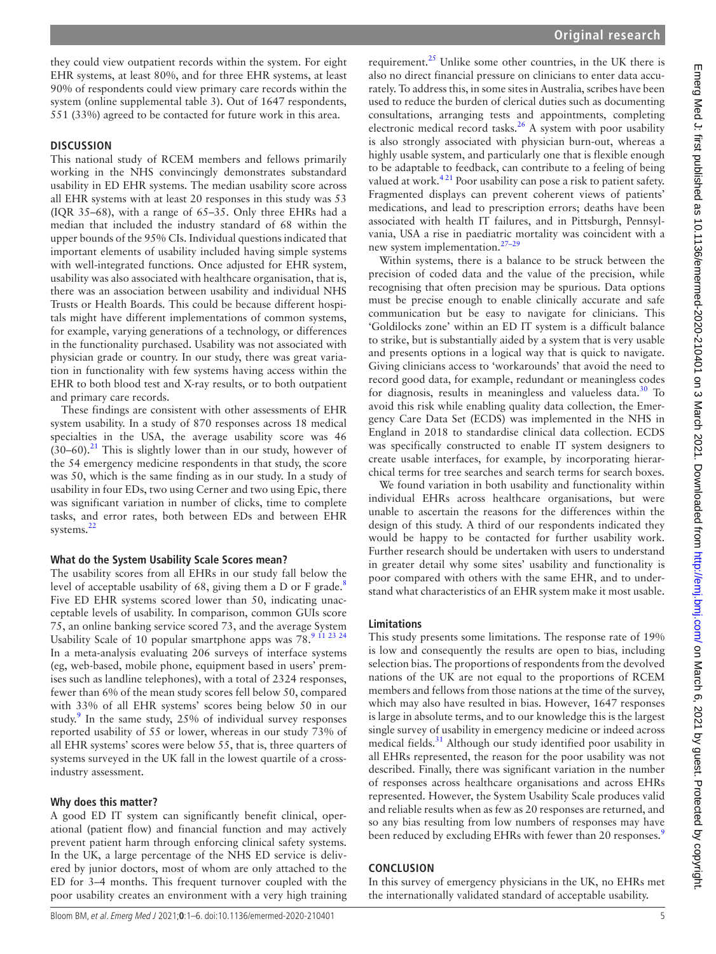they could view outpatient records within the system. For eight EHR systems, at least 80%, and for three EHR systems, at least 90% of respondents could view primary care records within the system [\(online supplemental table 3](https://dx.doi.org/10.1136/emermed-2020-210401)). Out of 1647 respondents, 551 (33%) agreed to be contacted for future work in this area.

#### **DISCUSSION**

This national study of RCEM members and fellows primarily working in the NHS convincingly demonstrates substandard usability in ED EHR systems. The median usability score across all EHR systems with at least 20 responses in this study was 53 (IQR 35–68), with a range of 65–35. Only three EHRs had a median that included the industry standard of 68 within the upper bounds of the 95% CIs. Individual questions indicated that important elements of usability included having simple systems with well-integrated functions. Once adjusted for EHR system, usability was also associated with healthcare organisation, that is, there was an association between usability and individual NHS Trusts or Health Boards. This could be because different hospitals might have different implementations of common systems, for example, varying generations of a technology, or differences in the functionality purchased. Usability was not associated with physician grade or country. In our study, there was great variation in functionality with few systems having access within the EHR to both blood test and X-ray results, or to both outpatient and primary care records.

These findings are consistent with other assessments of EHR system usability. In a study of 870 responses across 18 medical specialties in the USA, the average usability score was 46  $(30-60)$ .<sup>21</sup> This is slightly lower than in our study, however of the 54 emergency medicine respondents in that study, the score was 50, which is the same finding as in our study. In a study of usability in four EDs, two using Cerner and two using Epic, there was significant variation in number of clicks, time to complete tasks, and error rates, both between EDs and between EHR systems.<sup>[22](#page-5-14)</sup>

# **What do the System Usability Scale Scores mean?**

The usability scores from all EHRs in our study fall below the level of acceptable usability of 6[8](#page-5-6), giving them a D or F grade. $8$ Five ED EHR systems scored lower than 50, indicating unacceptable levels of usability. In comparison, common GUIs score 75, an online banking service scored 73, and the average System Usability Scale of 10 popular smartphone apps was 78.[9 11 23 24](#page-5-5) In a meta-analysis evaluating 206 surveys of interface systems (eg, web-based, mobile phone, equipment based in users' premises such as landline telephones), with a total of 2324 responses, fewer than 6% of the mean study scores fell below 50, compared with 33% of all EHR systems' scores being below 50 in our study.<sup>[9](#page-5-5)</sup> In the same study, 25% of individual survey responses reported usability of 55 or lower, whereas in our study 73% of all EHR systems' scores were below 55, that is, three quarters of systems surveyed in the UK fall in the lowest quartile of a crossindustry assessment.

#### **Why does this matter?**

A good ED IT system can significantly benefit clinical, operational (patient flow) and financial function and may actively prevent patient harm through enforcing clinical safety systems. In the UK, a large percentage of the NHS ED service is delivered by junior doctors, most of whom are only attached to the ED for 3–4 months. This frequent turnover coupled with the poor usability creates an environment with a very high training

requirement.<sup>25</sup> Unlike some other countries, in the UK there is also no direct financial pressure on clinicians to enter data accurately. To address this, in some sites in Australia, scribes have been used to reduce the burden of clerical duties such as documenting consultations, arranging tests and appointments, completing electronic medical record tasks.<sup>[26](#page-5-16)</sup> A system with poor usability is also strongly associated with physician burn-out, whereas a highly usable system, and particularly one that is flexible enough to be adaptable to feedback, can contribute to a feeling of being valued at work.<sup>421</sup> Poor usability can pose a risk to patient safety. Fragmented displays can prevent coherent views of patients' medications, and lead to prescription errors; deaths have been associated with health IT failures, and in Pittsburgh, Pennsylvania, USA a rise in paediatric mortality was coincident with a new system implementation.[27–29](#page-5-17)

Within systems, there is a balance to be struck between the precision of coded data and the value of the precision, while recognising that often precision may be spurious. Data options must be precise enough to enable clinically accurate and safe communication but be easy to navigate for clinicians. This 'Goldilocks zone' within an ED IT system is a difficult balance to strike, but is substantially aided by a system that is very usable and presents options in a logical way that is quick to navigate. Giving clinicians access to 'workarounds' that avoid the need to record good data, for example, redundant or meaningless codes for diagnosis, results in meaningless and valueless data.<sup>30</sup> To avoid this risk while enabling quality data collection, the Emergency Care Data Set (ECDS) was implemented in the NHS in England in 2018 to standardise clinical data collection. ECDS was specifically constructed to enable IT system designers to create usable interfaces, for example, by incorporating hierarchical terms for tree searches and search terms for search boxes.

We found variation in both usability and functionality within individual EHRs across healthcare organisations, but were unable to ascertain the reasons for the differences within the design of this study. A third of our respondents indicated they would be happy to be contacted for further usability work. Further research should be undertaken with users to understand in greater detail why some sites' usability and functionality is poor compared with others with the same EHR, and to understand what characteristics of an EHR system make it most usable.

# **Limitations**

This study presents some limitations. The response rate of 19% is low and consequently the results are open to bias, including selection bias. The proportions of respondents from the devolved nations of the UK are not equal to the proportions of RCEM members and fellows from those nations at the time of the survey, which may also have resulted in bias. However, 1647 responses is large in absolute terms, and to our knowledge this is the largest single survey of usability in emergency medicine or indeed across medical fields.<sup>31</sup> Although our study identified poor usability in all EHRs represented, the reason for the poor usability was not described. Finally, there was significant variation in the number of responses across healthcare organisations and across EHRs represented. However, the System Usability Scale produces valid and reliable results when as few as 20 responses are returned, and so any bias resulting from low numbers of responses may have been reduced by excluding EHRs with fewer than 20 responses.<sup>[9](#page-5-5)</sup>

## **CONCLUSION**

In this survey of emergency physicians in the UK, no EHRs met the internationally validated standard of acceptable usability.